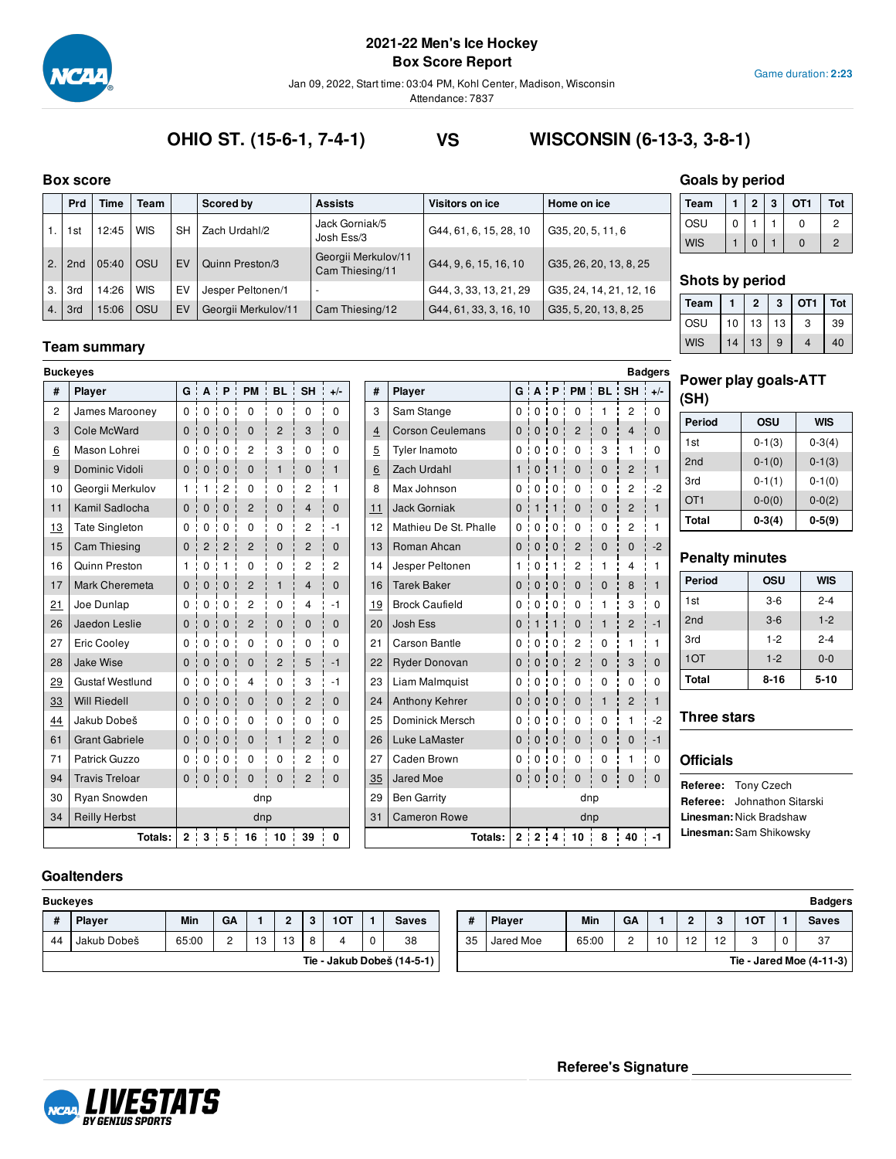

**Box Score Report**

Jan 09, 2022, Start time: 03:04 PM, Kohl Center, Madison, Wisconsin

Attendance: 7837

# **OHIO ST. (15-6-1, 7-4-1) VS WISCONSIN (6-13-3, 3-8-1)**

### **Box score**

|    | <b>Prd</b>      | Time  | Team       |           | <b>Scored by</b>    | <b>Assists</b>                         | Visitors on ice        | Home on ice             |
|----|-----------------|-------|------------|-----------|---------------------|----------------------------------------|------------------------|-------------------------|
|    | 1st             | 12:45 | <b>WIS</b> | <b>SH</b> | Zach Urdahl/2       | Jack Gorniak/5<br>Josh Ess/3           | G44, 61, 6, 15, 28, 10 | G35, 20, 5, 11, 6       |
| 2. | 2 <sub>nd</sub> | 05:40 | OSU        | EV        | Quinn Preston/3     | Georgii Merkulov/11<br>Cam Thiesing/11 | G44, 9, 6, 15, 16, 10  | G35, 26, 20, 13, 8, 25  |
| 3. | 3rd             | 14:26 | <b>WIS</b> | EV        | Jesper Peltonen/1   | $\overline{\phantom{a}}$               | G44, 3, 33, 13, 21, 29 | G35, 24, 14, 21, 12, 16 |
| 4. | 3rd             | 15:06 | OSU        | EV        | Georgii Merkulov/11 | Cam Thiesing/12                        | G44, 61, 33, 3, 16, 10 | G35, 5, 20, 13, 8, 25   |

## **Team summary**

|                | <b>Buckeyes</b>        |          |                |                                                  |                             |                |                |                |                |                         |                |                     |                    |                                  |                         |                | <b>Badgers</b> | Power p          |
|----------------|------------------------|----------|----------------|--------------------------------------------------|-----------------------------|----------------|----------------|----------------|----------------|-------------------------|----------------|---------------------|--------------------|----------------------------------|-------------------------|----------------|----------------|------------------|
| #              | Player                 |          |                |                                                  | $G$ $A$ $P$ $P$ $M$ $B$ $L$ |                | SH :           | $+/-$          | #              | Player                  |                |                     |                    |                                  | $G$ $A$ $P$ $P$ $M$ $B$ | $SH +/-$       |                | (SH)             |
| $\overline{2}$ | James Marooney         | 0:       |                | 0:0:                                             | $\mathbf 0$                 | $\mathbf 0$    | $\Omega$       | $\Omega$       | 3              | Sam Stange              |                | $0 \quad 0 \quad 0$ |                    | $\mathbf 0$                      | 1                       | $\overline{2}$ | $\Omega$       | Period           |
| 3              | Cole McWard            | 0:       | $\mathbf{0}$   | $\Omega$<br>J.<br>$\blacksquare$                 | $\Omega$                    | $\overline{2}$ | 3              | $\Omega$       | $\overline{4}$ | <b>Corson Ceulemans</b> | 0:             | $\mathbf{0}$        | $\cdot$ 0          | $\overline{2}$                   | $\mathbf{0}$            | $\overline{4}$ | $\Omega$       |                  |
| 6              | Mason Lohrei           | 0:       |                | 0:0<br>$\cdot$                                   | $\overline{2}$              | 3              | 0              | $\Omega$       | $\overline{5}$ | <b>Tyler Inamoto</b>    | 0:             | $\mathbf 0$         | $\cdot$ 0 $\cdot$  | $\mathbf 0$                      | 3                       | 1              | $\Omega$       | 1st              |
| 9              | Dominic Vidoli         | $0$ :    | 0:             | $\mathbf 0$<br>$\blacksquare$                    | $\mathbf{0}$                | $\mathbf{1}$   | $\mathbf 0$    | $\mathbf{1}$   | 6              | Zach Urdahl             | 1:             | $\mathbf 0$         | $\mathbf{1}$<br>т. | $\mathbf 0$<br>л,                | $\mathbf 0$             | $\overline{c}$ | $\mathbf{1}$   | 2nd              |
| 10             | Georgii Merkulov       | 1:       | $\mathbf{1}$   | $\overline{c}$                                   | 0                           | 0              | 2              | 1              | 8              | Max Johnson             | 0 :            | $\mathbf{0}$        | $\cdot$ 0          | $\mathbf 0$                      | 0                       | 2              | $-2$           | 3rd              |
| 11             | Kamil Sadlocha         | 0:       | $\mathbf 0$    | $\mathbf 0$<br>÷<br>$\blacksquare$               | $\overline{2}$              | $\mathbf 0$    | $\overline{4}$ | $\mathbf{0}$   | 11             | <b>Jack Gorniak</b>     | 0:             | $\mathbf{1}$        | ۰<br>$\mathbf{1}$  | $\mathbf 0$                      | $\mathbf 0$             | $\overline{2}$ | $\mathbf{1}$   | OT <sub>1</sub>  |
| 13             | <b>Tate Singleton</b>  | 0:       | 0:             | $\mathbf 0$                                      | $\Omega$                    | $\Omega$       | 2              | $-1$           | 12             | Mathieu De St. Phalle   |                | 0:0                 | $\cdot$ 0          | $\mathbf 0$                      | $\mathbf 0$             | $\overline{c}$ | 1              | Total            |
| 15             | <b>Cam Thiesing</b>    | 0:       | $\overline{2}$ | $\overline{2}$<br>$\blacksquare$                 | $\overline{2}$              | $\mathbf{0}$   | $\overline{2}$ | $\Omega$       | 13             | Roman Ahcan             | 0:             | $\mathbf{0}$        | $\cdot$ 0          | $\overline{2}$<br>$\blacksquare$ | $\mathbf{0}$            | $\mathbf{0}$   | $-2$           |                  |
| 16             | Quinn Preston          | 1:       |                | 0:1<br>$\cdot$                                   | 0                           | 0              | 2              | $\overline{c}$ | 14             | Jesper Peltonen         | 1:             | $\mathbf 0$         | 111                | 2                                | 1                       | 4              | 1              | <b>Penalty</b>   |
| 17             | Mark Cheremeta         | 0:       | $\mathbf{0}$   | ÷<br>$\mathbf{0}$<br>$\cdot$                     | $\overline{2}$              | $\mathbf{1}$   | $\overline{4}$ | $\mathbf{0}$   | 16             | <b>Tarek Baker</b>      | 0:             | $\mathbf{0}$        | $\frac{1}{2}$ 0    | $\mathbf{0}$<br>٠                | $\mathbf{0}$            | 8              | $\mathbf{1}$   | Period           |
| 21             | Joe Dunlap             | 0:       | $\mathbf 0$    | $\mathbf 0$                                      | 2                           | 0              | 4              | $-1$           | 19             | <b>Brock Caufield</b>   | 0:             | $\mathbf 0$         | $\cdot$ 0          | 0                                | 1                       | 3              | $\Omega$       | 1st              |
| 26             | Jaedon Leslie          | 0:       | $\mathbf 0$    | $\mathbf{0}$<br>$\blacksquare$<br>U,             | $\overline{2}$              | $\mathbf 0$    | $\mathbf 0$    | $\mathbf{0}$   | 20             | Josh Ess                | 0:             | $\mathbf{1}$        | ÷.<br>$\mathbf{1}$ | $\mathbf 0$<br>u,                | $\mathbf{1}$            | $\overline{2}$ | $-1$           | 2 <sub>nd</sub>  |
| 27             | Eric Cooley            | 0:       | 0              | $\mathbf 0$                                      | 0                           | $\Omega$       | $\Omega$       | $\Omega$       | 21             | <b>Carson Bantle</b>    | 0 <sup>1</sup> | $\Omega$            | $\cdot$ 0          | $\overline{c}$                   | $\mathbf 0$             | 1              | 1              | 3rd              |
| 28             | Jake Wise              | 0:       | $\mathbf{0}$   | $\mathbf{0}$<br>$\blacksquare$<br>$\blacksquare$ | $\mathbf{0}$                | $\overline{2}$ | 5              | $-1$           | 22             | Ryder Donovan           | 0:             | $\mathbf{0}$        | $\cdot$ 0          | $\overline{2}$<br>$\blacksquare$ | $\mathbf{0}$            | 3              | $\Omega$       | 1OT              |
| 29             | <b>Gustaf Westlund</b> | 0:       | $\Omega$       | $\Omega$                                         | 4                           | $\Omega$       | 3              | $-1$           | 23             | Liam Malmquist          | 0 :            | $\Omega$            | $\cdot$ 0          | $\mathbf 0$                      | $\Omega$                | $\Omega$       | $\Omega$       | Total            |
| 33             | <b>Will Riedell</b>    | 0:       | $\mathbf{0}$   | $\mathbf{0}$<br>J.                               | $\mathbf{0}$                | $\mathbf{0}$   | $\overline{c}$ | $\Omega$       | 24             | Anthony Kehrer          | 0:             | $\mathbf{0}$        | $\mathbf{.0}$      | $\mathbf{0}$<br>J.               | $\mathbf{1}$            | $\overline{2}$ | $\mathbf{1}$   |                  |
| 44             | Jakub Dobeš            | $\Omega$ | $\mathbf 0$    | $\mathbf 0$                                      | 0                           | $\mathbf 0$    | 0              | 0              | 25             | <b>Dominick Mersch</b>  | 0:             | 0                   | $\cdot$ 0          | 0                                | 0                       | 1              | $-2$           | Three s          |
| 61             | <b>Grant Gabriele</b>  | 0:       | $\mathbf 0$    | $\mathbf{0}$<br>$\blacksquare$<br>u,             | $\mathbf 0$                 | $\mathbf{1}$   | $\overline{c}$ | $\mathbf{0}$   | 26             | Luke LaMaster           | 0:             | $\mathbf{0}$        | $\cdot$ 0          | $\mathbf 0$<br>$\blacksquare$    | $\mathbf 0$             | $\pmb{0}$      | $-1$           |                  |
| 71             | Patrick Guzzo          | 0:       |                | 0:0:                                             | 0                           | $\mathbf 0$    | 2              | $\Omega$       | 27             | Caden Brown             | 0:             | $\mathbf{0}$        | $\pm 0$            | 0                                | 0                       | 1              | $\mathbf 0$    | <b>Officials</b> |
| 94             | <b>Travis Treloar</b>  | 0:       |                | 0:0:                                             | $\mathbf 0$                 | $\mathbf 0$    | $\overline{2}$ | $\Omega$       | 35             | Jared Moe               |                |                     | 0:0:0:             | $\mathbf 0$                      | $\mathbf 0$             | $\mathbf 0$    | $\mathbf{0}$   | Referee:         |
| 30             | Ryan Snowden           |          |                |                                                  | dnp                         |                |                |                | 29             | <b>Ben Garrity</b>      |                |                     |                    | dnp                              |                         |                |                | Referee:         |
| 34             | <b>Reilly Herbst</b>   |          |                |                                                  | dnp                         |                |                |                | 31             | <b>Cameron Rowe</b>     |                |                     |                    | dnp                              |                         |                |                | Linesman         |
|                | Totals:                | 2:       |                |                                                  | 3:5:16:10                   |                | 39             | 0              |                | Totals:                 |                |                     |                    | 2:2:4:10                         | 8                       | 40             | $1 - 1$        | Linesman         |

# **Goals by period**

| Team       |   | 2 | 3 | OT1 | Tot            |
|------------|---|---|---|-----|----------------|
| OSU        | 0 |   |   |     | 2              |
| <b>WIS</b> |   | ŋ |   |     | $\overline{2}$ |

# **Shots by period**

| Team       |    | 2  | 3  | OT <sub>1</sub> | Tot |
|------------|----|----|----|-----------------|-----|
| OSU        | 10 | 13 | 13 | 3               | 39  |
| <b>WIS</b> | 14 | 13 | 9  |                 | 40  |

# **Power play goals-ATT**

| Period          | OSU        | <b>WIS</b> |
|-----------------|------------|------------|
| 1st             | $0-1(3)$   | $0-3(4)$   |
| 2nd             | $0-1(0)$   | $0-1(3)$   |
| 3rd             | $0-1(1)$   | $0-1(0)$   |
| OT <sub>1</sub> | $0 - 0(0)$ | $0 - 0(2)$ |
| Total           | $0-3(4)$   | $0-5(9)$   |

# **minutes**

| Period | OSU      | <b>WIS</b> |
|--------|----------|------------|
| 1st    | $3-6$    | $2 - 4$    |
| 2nd    | $3 - 6$  | $1 - 2$    |
| 3rd    | $1 - 2$  | $2 - 4$    |
| 1OT    | $1 - 2$  | $0 - 0$    |
| Total  | $8 - 16$ | $5 - 10$   |

# **Three stars**

**Officials**

**Tony Czech Referee:** Johnathon Sitarski **Linesman:** Nick Bradshaw **Linesman:** Sam Shikowsky

# **Goaltenders**

| <b>Buckeyes</b> |               |            |    |    |                 |                   |     |   |                            |    |               |       |        |    |     |                             |     |              | <b>Badgers</b>           |
|-----------------|---------------|------------|----|----|-----------------|-------------------|-----|---|----------------------------|----|---------------|-------|--------|----|-----|-----------------------------|-----|--------------|--------------------------|
|                 | <b>Player</b> | <b>Min</b> | GA |    | $\sim$          | $\mathbf{\Omega}$ | 1OT |   | <b>Saves</b>               |    | <b>Plaver</b> | Min   | GA     |    |     | ◠                           | 10T |              | <b>Saves</b>             |
| 44              | Jakub Dobeš   | 65:00      |    | 13 | $\overline{10}$ | $\circ$           |     | 0 | 38                         | 35 | Jared Moe     | 65:00 | $\sim$ | 10 | 1.2 | $\overline{10}$<br><u>_</u> |     | $\mathbf{0}$ | 37                       |
|                 |               |            |    |    |                 |                   |     |   | Tie - Jakub Dobeš (14-5-1) |    |               |       |        |    |     |                             |     |              | Tie - Jared Moe (4-11-3) |

|    |               |       |    |    |    |     | <b>Badgers</b>           |
|----|---------------|-------|----|----|----|-----|--------------------------|
| #  | <b>Player</b> | Min   | GA | ŋ  | 3  | 1OT | <b>Saves</b>             |
| 35 | Jared Moe     | 65:00 | ົ  | 10 | 12 |     | -37                      |
|    |               |       |    |    |    |     | Tie - Jared Moe (4-11-3) |



**Referee's Signature**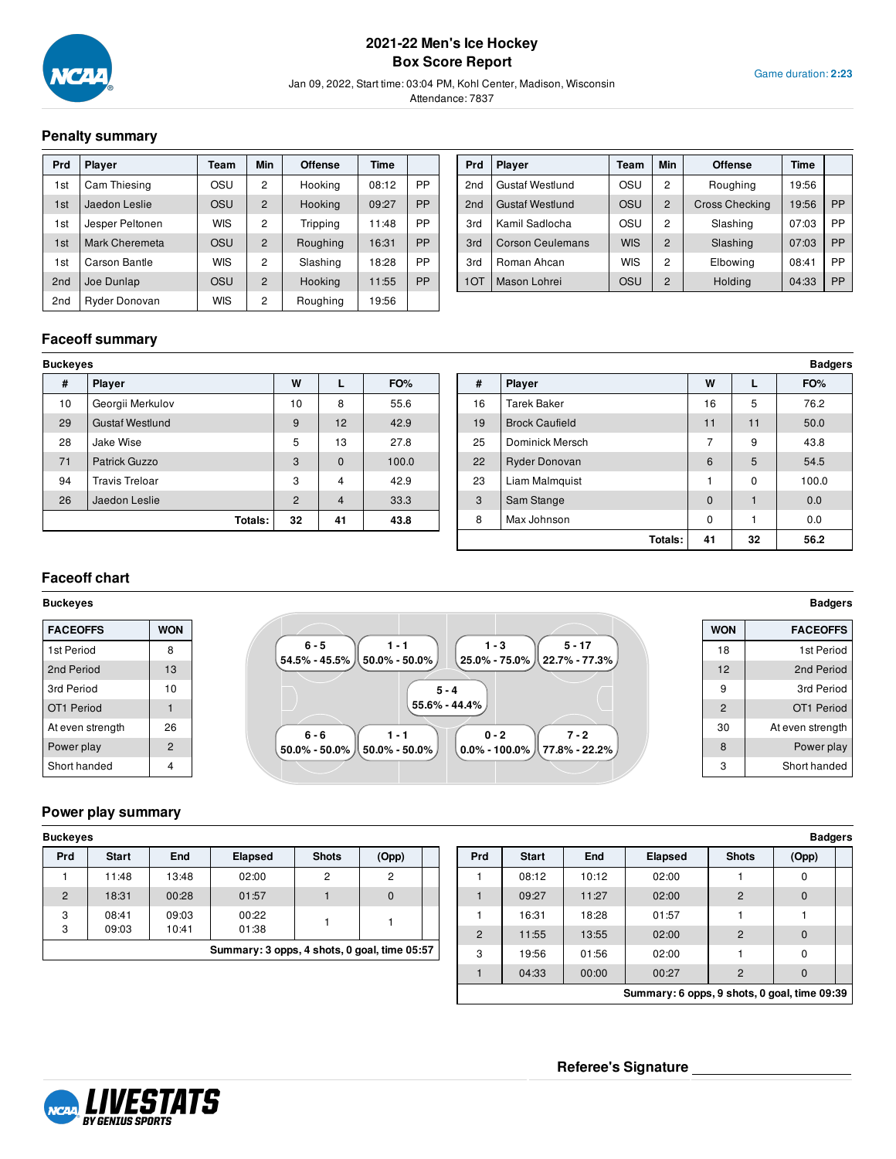

# **2021-22 Men's Ice Hockey Box Score Report**

Game duration: **2:23**

Jan 09, 2022, Start time: 03:04 PM, Kohl Center, Madison, Wisconsin Attendance: 7837

**Penalty summary**

| <b>Prd</b>      | <b>Player</b>   | Team       | Min            | <b>Offense</b> | Time  |           |
|-----------------|-----------------|------------|----------------|----------------|-------|-----------|
| 1st             | Cam Thiesing    | OSU        | 2              | Hooking        | 08:12 | PP        |
| 1st             | Jaedon Leslie   | <b>OSU</b> | 2              | Hooking        | 09:27 | <b>PP</b> |
| 1st             | Jesper Peltonen | <b>WIS</b> | 2              | Tripping       | 11:48 | PP        |
| 1st             | Mark Cheremeta  | <b>OSU</b> | $\overline{2}$ | Roughing       | 16:31 | <b>PP</b> |
| 1st             | Carson Bantle   | <b>WIS</b> | 2              | Slashing       | 18:28 | PP        |
| 2 <sub>nd</sub> | Joe Dunlap      | OSU        | 2              | Hooking        | 11:55 | <b>PP</b> |
| 2 <sub>nd</sub> | Ryder Donovan   | <b>WIS</b> | 2              | Roughing       | 19:56 |           |

| <b>Prd</b>      | <b>Player</b>           | Team       | <b>Min</b>     | <b>Offense</b>        | Time  |           |
|-----------------|-------------------------|------------|----------------|-----------------------|-------|-----------|
| 2nd             | Gustaf Westlund         | osu        | 2              | Roughing              | 19:56 |           |
| 2 <sub>nd</sub> | <b>Gustaf Westlund</b>  | OSU        | $\overline{2}$ | <b>Cross Checking</b> | 19:56 | <b>PP</b> |
| 3rd             | Kamil Sadlocha          | OSU        | 2              | Slashing              | 07:03 | PP        |
| 3rd             | <b>Corson Ceulemans</b> | <b>WIS</b> | $\overline{2}$ | Slashing              | 07:03 | PP        |
| 3rd             | Roman Ahcan             | <b>WIS</b> | $\overline{c}$ | Elbowing              | 08:41 | PP        |
| 1OT             | Mason Lohrei            | OSU        | $\overline{2}$ | Holding               | 04:33 | PP        |

# **Faceoff summary**

| DUCKEVES |                        |                |                |       |
|----------|------------------------|----------------|----------------|-------|
| #        | <b>Player</b>          | W              |                | FO%   |
| 10       | Georgii Merkulov       | 10             | 8              | 55.6  |
| 29       | <b>Gustaf Westlund</b> | 9              | 12             | 42.9  |
| 28       | Jake Wise              | 5              | 13             | 27.8  |
| 71       | Patrick Guzzo          | 3              | $\Omega$       | 100.0 |
| 94       | <b>Travis Treloar</b>  | 3              | $\overline{4}$ | 42.9  |
| 26       | Jaedon Leslie          | $\overline{2}$ | $\overline{4}$ | 33.3  |
|          | Totals:                | 32             | 41             | 43.8  |

| Buckeyes |                        |    |                |       |    |                       |              |    | <b>Badgers</b> |
|----------|------------------------|----|----------------|-------|----|-----------------------|--------------|----|----------------|
| #        | Player                 | W  |                | FO%   | #  | Player                | W            |    | FO%            |
| 10       | Georgii Merkulov       | 10 | 8              | 55.6  | 16 | <b>Tarek Baker</b>    | 16           | 5  | 76.2           |
| 29       | <b>Gustaf Westlund</b> | 9  | 12             | 42.9  | 19 | <b>Brock Caufield</b> | 11           | 11 | 50.0           |
| 28       | Jake Wise              | 5  | 13             | 27.8  | 25 | Dominick Mersch       | ⇁            | 9  | 43.8           |
| 71       | Patrick Guzzo          | 3  | $\Omega$       | 100.0 | 22 | Ryder Donovan         | 6            | 5  | 54.5           |
| 94       | <b>Travis Treloar</b>  | 3  | $\overline{4}$ | 42.9  | 23 | Liam Malmquist        |              | 0  | 100.0          |
| 26       | Jaedon Leslie          | 2  | $\overline{4}$ | 33.3  | 3  | Sam Stange            | $\mathbf{0}$ |    | 0.0            |
|          | Totals:                | 32 | 41             | 43.8  | 8  | Max Johnson           | $\mathbf 0$  |    | 0.0            |
|          |                        |    |                |       |    | Totals:               | 41           | 32 | 56.2           |

# **Faceoff chart**

#### **Buckeyes Badgers**

| <b>FACEOFFS</b>  | <b>WON</b> |                                                                      | <b>WON</b>     | <b>FACEOFFS</b>  |
|------------------|------------|----------------------------------------------------------------------|----------------|------------------|
| 1st Period       | 8          | $5 - 17$<br>$6 - 5$<br>$1 - 3$<br>$1 - 1$                            | 18             | 1st Period       |
| 2nd Period       | 13         | .54.5% - 45.5% 从 50.0% - 50.0% ,<br>25.0% - 75.0% 从 22.7% - 77.3% 儿  | 12             | 2nd Period       |
| 3rd Period       | 10         | $5 - 4$                                                              | 9              | 3rd Period       |
| OT1 Period       |            | $55.6\% - 44.4\%$                                                    | $\overline{2}$ | OT1 Period       |
| At even strength | 26         | $7 - 2$<br>$6 - 6$<br>$0 - 2$<br>$1 - 1$                             | 30             | At even strength |
| Power play       | 2          | ,0.0% - 100.0% 从 77.8% - 22.2% 儿<br>.50.0% - 50.0% 从 50.0% - 50.0% , | 8              | Power play       |
| Short handed     | 4          |                                                                      | 3              | Short handed     |

# **Power play summary**

| Prd<br><b>Start</b><br>End<br>13:48<br>11:48 | <b>Elapsed</b><br>02:00 | <b>Shots</b><br>2 | (Opp)<br>2 |  |  |  |  |  |
|----------------------------------------------|-------------------------|-------------------|------------|--|--|--|--|--|
|                                              |                         |                   |            |  |  |  |  |  |
|                                              |                         |                   |            |  |  |  |  |  |
| 2<br>18:31<br>00:28                          | 01:57                   |                   |            |  |  |  |  |  |
| 08:41<br>3<br>09:03<br>3<br>09:03<br>10:41   | 00:22<br>01:38          |                   |            |  |  |  |  |  |
| Summary: 3 opps, 4 shots, 0 goal, time 05:57 |                         |                   |            |  |  |  |  |  |

| <b>Badgers</b><br>Buckeves                   |                                              |       |                |              |              |   |                |              |       |                |                |              |  |
|----------------------------------------------|----------------------------------------------|-------|----------------|--------------|--------------|---|----------------|--------------|-------|----------------|----------------|--------------|--|
| Prd                                          | <b>Start</b>                                 | End   | <b>Elapsed</b> | <b>Shots</b> | (Opp)        |   | Prd            | <b>Start</b> | End   | <b>Elapsed</b> | <b>Shots</b>   | (Opp)        |  |
|                                              | 11:48                                        | 13:48 | 02:00          | 2            | 2            |   |                | 08:12        | 10:12 | 02:00          |                | 0            |  |
| $\overline{2}$                               | 18:31                                        | 00:28 | 01:57          |              | $\mathbf{0}$ |   |                | 09:27        | 11:27 | 02:00          | 2              | $\mathbf{0}$ |  |
| 3                                            | 08:41                                        | 09:03 | 00:22          |              |              |   |                | 16:31        | 18:28 | 01:57          |                |              |  |
| 3                                            | 09:03                                        | 10:41 | 01:38          |              |              |   | $\overline{2}$ | 11:55        | 13:55 | 02:00          | $\overline{2}$ | $\mathbf{0}$ |  |
| Summary: 3 opps, 4 shots, 0 goal, time 05:57 |                                              |       |                |              |              | 3 | 19:56          | 01:56        | 02:00 |                | 0              |              |  |
|                                              |                                              |       |                |              |              |   |                | 04:33        | 00:00 | 00:27          | 2              | $\mathbf{0}$ |  |
|                                              | Summary: 6 opps, 9 shots, 0 goal, time 09:39 |       |                |              |              |   |                |              |       |                |                |              |  |

**Referee's Signature**